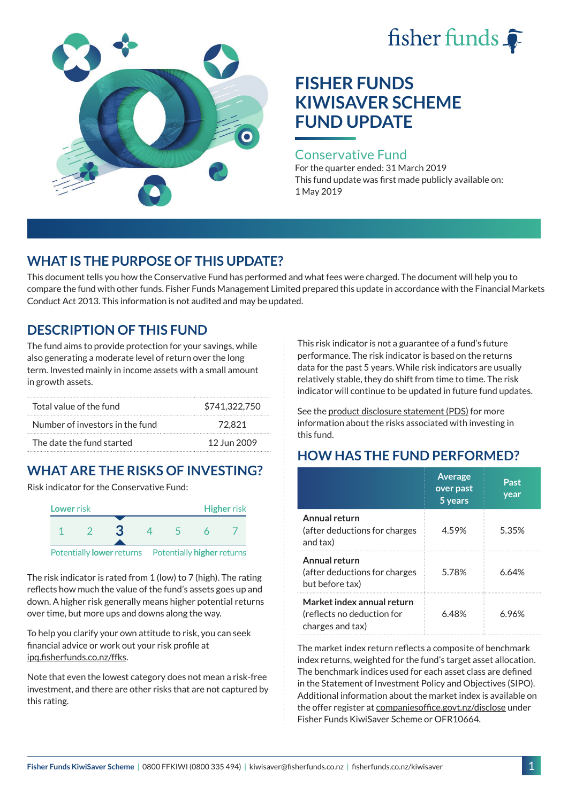# fisher funds  $\hat{\bullet}$



# **FISHER FUNDS KIWISAVER SCHEME FUND UPDATE**

#### Conservative Fund

For the quarter ended: 31 March 2019 This fund update was first made publicly available on: 1 May 2019

## **WHAT IS THE PURPOSE OF THIS UPDATE?**

This document tells you how the Conservative Fund has performed and what fees were charged. The document will help you to compare the fund with other funds. Fisher Funds Management Limited prepared this update in accordance with the Financial Markets Conduct Act 2013. This information is not audited and may be updated.

## **DESCRIPTION OF THIS FUND**

The fund aims to provide protection for your savings, while also generating a moderate level of return over the long term. Invested mainly in income assets with a small amount in growth assets.

| Total value of the fund         | \$741,322,750 |
|---------------------------------|---------------|
| Number of investors in the fund | 72.821        |
| The date the fund started       | 12 Jun 2009   |

# **WHAT ARE THE RISKS OF INVESTING?**

Risk indicator for the Conservative Fund:



The risk indicator is rated from 1 (low) to 7 (high). The rating reflects how much the value of the fund's assets goes up and down. A higher risk generally means higher potential returns over time, but more ups and downs along the way.

To help you clarify your own attitude to risk, you can seek financial advice or work out your risk profile at [ipq.fisherfunds.co.nz/ffks](https://ipq.fisherfunds.co.nz/ffks).

Note that even the lowest category does not mean a risk-free investment, and there are other risks that are not captured by this rating.

This risk indicator is not a guarantee of a fund's future performance. The risk indicator is based on the returns data for the past 5 years. While risk indicators are usually relatively stable, they do shift from time to time. The risk indicator will continue to be updated in future fund updates.

See the [product disclosure statement \(PDS\)](https://fisherfunds.co.nz/assets/PDS/Fisher-Funds-KiwiSaver-Scheme-PDS.pdf) for more information about the risks associated with investing in this fund.

# **HOW HAS THE FUND PERFORMED?**

|                                                                              | <b>Average</b><br>over past<br>5 years | Past<br>year |
|------------------------------------------------------------------------------|----------------------------------------|--------------|
| Annual return<br>(after deductions for charges<br>and tax)                   | 4.59%                                  | 5.35%        |
| Annual return<br>(after deductions for charges<br>but before tax)            | 5.78%                                  | 6.64%        |
| Market index annual return<br>(reflects no deduction for<br>charges and tax) | 6 48%                                  | 6.96%        |

The market index return reflects a composite of benchmark index returns, weighted for the fund's target asset allocation. The benchmark indices used for each asset class are defined in the Statement of Investment Policy and Objectives (SIPO). Additional information about the market index is available on the offer register at [companiesoffice.govt.nz/disclose](http://companiesoffice.govt.nz/disclose) under Fisher Funds KiwiSaver Scheme or OFR10664.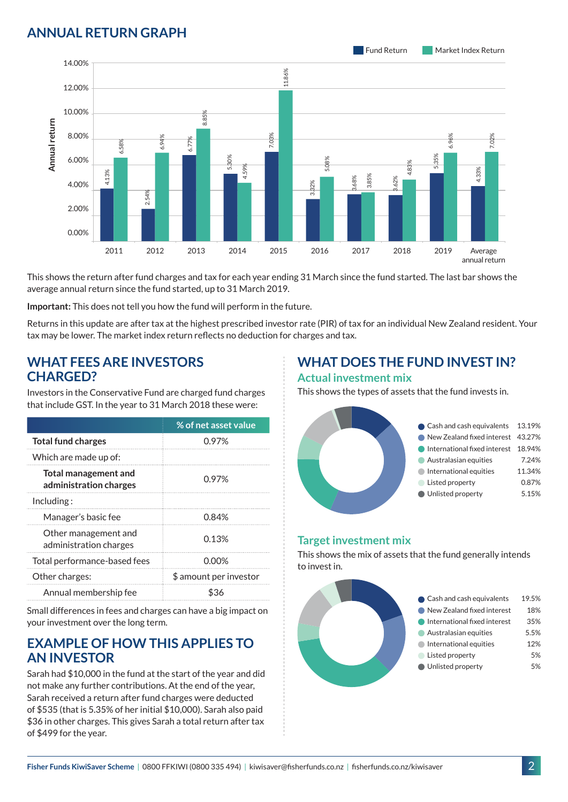### **ANNUAL RETURN GRAPH**



This shows the return after fund charges and tax for each year ending 31 March since the fund started. The last bar shows the average annual return since the fund started, up to 31 March 2019.

**Important:** This does not tell you how the fund will perform in the future.

Returns in this update are after tax at the highest prescribed investor rate (PIR) of tax for an individual New Zealand resident. Your tax may be lower. The market index return reflects no deduction for charges and tax.

#### **WHAT FEES ARE INVESTORS CHARGED?**

Investors in the Conservative Fund are charged fund charges that include GST. In the year to 31 March 2018 these were:

|                                                | % of net asset value   |
|------------------------------------------------|------------------------|
| <b>Total fund charges</b>                      | 0.97%                  |
| Which are made up of:                          |                        |
| Total management and<br>administration charges | 0.97%                  |
| Including:                                     |                        |
| Manager's basic fee                            | 0.84%                  |
| Other management and<br>administration charges | 0.13%                  |
| Total performance-based fees                   | 0.00%                  |
| Other charges:                                 | \$ amount per investor |
| Annual membership fee                          |                        |

Small differences in fees and charges can have a big impact on your investment over the long term.

#### **EXAMPLE OF HOW THIS APPLIES TO AN INVESTOR**

Sarah had \$10,000 in the fund at the start of the year and did not make any further contributions. At the end of the year, Sarah received a return after fund charges were deducted of \$535 (that is 5.35% of her initial \$10,000). Sarah also paid \$36 in other charges. This gives Sarah a total return after tax of \$499 for the year.

# **WHAT DOES THE FUND INVEST IN?**

#### **Actual investment mix**

This shows the types of assets that the fund invests in.



#### **Target investment mix**

This shows the mix of assets that the fund generally intends to invest in.